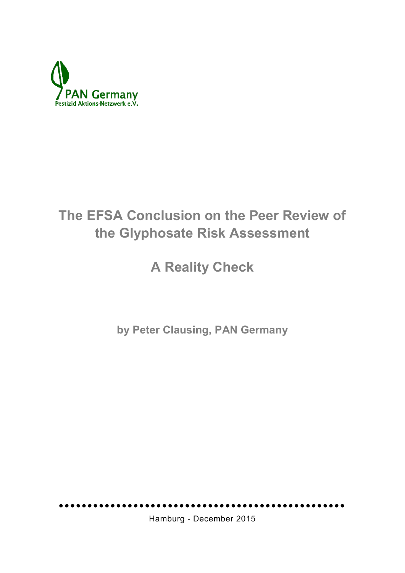

# **The EFSA Conclusion on the Peer Review of the Glyphosate Risk Assessment**

## **A Reality Check**

**by Peter Clausing, PAN Germany**

Hamburg - December 2015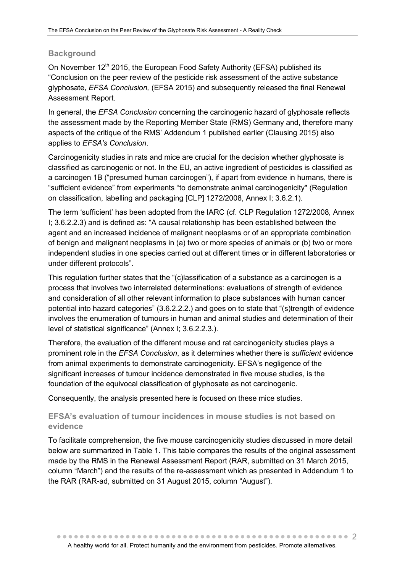## **Background**

On November 12<sup>th</sup> 2015, the European Food Safety Authority (EFSA) published its "Conclusion on the peer review of the pesticide risk assessment of the active substance glyphosate, *EFSA Conclusion,* (EFSA 2015) and subsequently released the final Renewal Assessment Report.

In general, the *EFSA Conclusion* concerning the carcinogenic hazard of glyphosate reflects the assessment made by the Reporting Member State (RMS) Germany and, therefore many aspects of the critique of the RMS' Addendum 1 published earlier (Clausing 2015) also applies to *EFSA's Conclusion*.

Carcinogenicity studies in rats and mice are crucial for the decision whether glyphosate is classified as carcinogenic or not. In the EU, an active ingredient of pesticides is classified as a carcinogen 1B ("presumed human carcinogen"), if apart from evidence in humans, there is "sufficient evidence" from experiments "to demonstrate animal carcinogenicity" (Regulation on classification, labelling and packaging [CLP] 1272/2008, Annex I; 3.6.2.1).

The term 'sufficient' has been adopted from the IARC (cf. CLP Regulation 1272/2008, Annex I; 3.6.2.2.3) and is defined as: "A causal relationship has been established between the agent and an increased incidence of malignant neoplasms or of an appropriate combination of benign and malignant neoplasms in (a) two or more species of animals or (b) two or more independent studies in one species carried out at different times or in different laboratories or under different protocols".

This regulation further states that the "(c)lassification of a substance as a carcinogen is a process that involves two interrelated determinations: evaluations of strength of evidence and consideration of all other relevant information to place substances with human cancer potential into hazard categories" (3.6.2.2.2.) and goes on to state that "(s)trength of evidence involves the enumeration of tumours in human and animal studies and determination of their level of statistical significance" (Annex I; 3.6.2.2.3.).

Therefore, the evaluation of the different mouse and rat carcinogenicity studies plays a prominent role in the *EFSA Conclusion*, as it determines whether there is *sufficient* evidence from animal experiments to demonstrate carcinogenicity. EFSA's negligence of the significant increases of tumour incidence demonstrated in five mouse studies, is the foundation of the equivocal classification of glyphosate as not carcinogenic.

Consequently, the analysis presented here is focused on these mice studies.

## **EFSA's evaluation of tumour incidences in mouse studies is not based on evidence**

To facilitate comprehension, the five mouse carcinogenicity studies discussed in more detail below are summarized in Table 1. This table compares the results of the original assessment made by the RMS in the Renewal Assessment Report (RAR, submitted on 31 March 2015, column "March") and the results of the re-assessment which as presented in Addendum 1 to the RAR (RAR-ad, submitted on 31 August 2015, column "August").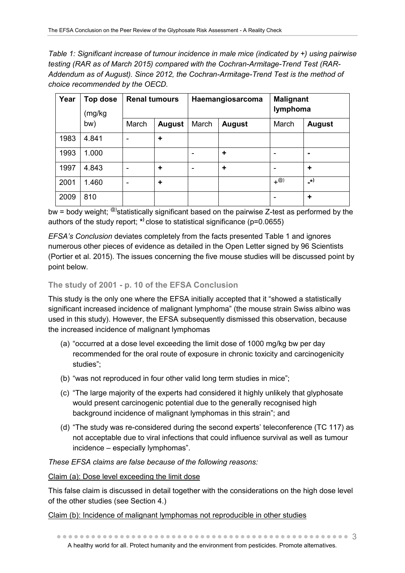*Table 1: Significant increase of tumour incidence in male mice (indicated by +) using pairwise testing (RAR as of March 2015) compared with the Cochran-Armitage-Trend Test (RAR-Addendum as of August). Since 2012, the Cochran-Armitage-Trend Test is the method of choice recommended by the OECD.*

| Year | <b>Top dose</b><br>(mg/kg<br>bw) | <b>Renal tumours</b> |               | Haemangiosarcoma |               | <b>Malignant</b><br>lymphoma   |               |
|------|----------------------------------|----------------------|---------------|------------------|---------------|--------------------------------|---------------|
|      |                                  | March                | <b>August</b> | March            | <b>August</b> | March                          | <b>August</b> |
| 1983 | 4.841                            | -                    | ÷             |                  |               |                                |               |
| 1993 | 1.000                            |                      |               |                  | ÷             |                                | ۰             |
| 1997 | 4.843                            | -                    | ÷             |                  | ÷             |                                | ÷             |
| 2001 | 1.460                            | -                    | ÷             |                  |               | $+$ <sup><math>@)</math></sup> | _*)           |
| 2009 | 810                              |                      |               |                  |               |                                | ٠             |

 $b$ w = body weight; <sup>@)</sup>statistically significant based on the pairwise Z-test as performed by the authors of the study report; **\* )** close to statistical significance (p=0.0655)

*EFSA's Conclusion* deviates completely from the facts presented Table 1 and ignores numerous other pieces of evidence as detailed in the Open Letter signed by 96 Scientists (Portier et al. 2015). The issues concerning the five mouse studies will be discussed point by point below.

## **The study of 2001 - p. 10 of the EFSA Conclusion**

This study is the only one where the EFSA initially accepted that it "showed a statistically significant increased incidence of malignant lymphoma" (the mouse strain Swiss albino was used in this study). However, the EFSA subsequently dismissed this observation, because the increased incidence of malignant lymphomas

- (a) "occurred at a dose level exceeding the limit dose of 1000 mg/kg bw per day recommended for the oral route of exposure in chronic toxicity and carcinogenicity studies";
- (b) "was not reproduced in four other valid long term studies in mice";
- (c) "The large majority of the experts had considered it highly unlikely that glyphosate would present carcinogenic potential due to the generally recognised high background incidence of malignant lymphomas in this strain"; and
- (d) "The study was re-considered during the second experts' teleconference (TC 117) as not acceptable due to viral infections that could influence survival as well as tumour incidence – especially lymphomas".

## *These EFSA claims are false because of the following reasons:*

Claim (a): Dose level exceeding the limit dose

This false claim is discussed in detail together with the considerations on the high dose level of the other studies (see Section 4.)

Claim (b): Incidence of malignant lymphomas not reproducible in other studies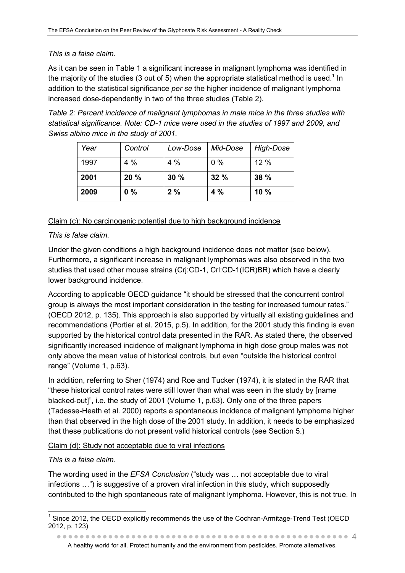## *This is a false claim.*

As it can be seen in Table 1 a significant increase in malignant lymphoma was identified in the majority of the studies (3 out of 5) when the appropriate statistical method is used.<sup>1</sup> In addition to the statistical significance *per se* the higher incidence of malignant lymphoma increased dose-dependently in two of the three studies (Table 2).

*Table 2: Percent incidence of malignant lymphomas in male mice in the three studies with statistical significance. Note: CD-1 mice were used in the studies of 1997 and 2009, and Swiss albino mice in the study of 2001.*

| Year | Control | Low-Dose | Mid-Dose | High-Dose |
|------|---------|----------|----------|-----------|
| 1997 | 4%      | 4 %      | $0\%$    | 12%       |
| 2001 | 20%     | 30%      | 32%      | 38%       |
| 2009 | $0\%$   | 2%       | 4%       | 10%       |

## Claim (c): No carcinogenic potential due to high background incidence

## *This is false claim.*

Under the given conditions a high background incidence does not matter (see below). Furthermore, a significant increase in malignant lymphomas was also observed in the two studies that used other mouse strains (Crj:CD-1, Crl:CD-1(ICR)BR) which have a clearly lower background incidence.

According to applicable OECD guidance "it should be stressed that the concurrent control group is always the most important consideration in the testing for increased tumour rates." (OECD 2012, p. 135). This approach is also supported by virtually all existing guidelines and recommendations (Portier et al. 2015, p.5). In addition, for the 2001 study this finding is even supported by the historical control data presented in the RAR. As stated there, the observed significantly increased incidence of malignant lymphoma in high dose group males was not only above the mean value of historical controls, but even "outside the historical control range" (Volume 1, p.63).

In addition, referring to Sher (1974) and Roe and Tucker (1974), it is stated in the RAR that "these historical control rates were still lower than what was seen in the study by [name blacked-out]", i.e. the study of 2001 (Volume 1, p.63). Only one of the three papers (Tadesse-Heath et al. 2000) reports a spontaneous incidence of malignant lymphoma higher than that observed in the high dose of the 2001 study. In addition, it needs to be emphasized that these publications do not present valid historical controls (see Section 5.)

## Claim (d): Study not acceptable due to viral infections

## *This is a false claim.*

The wording used in the *EFSA Conclusion* ("study was … not acceptable due to viral infections …") is suggestive of a proven viral infection in this study, which supposedly contributed to the high spontaneous rate of malignant lymphoma. However, this is not true. In

 4 A healthy world for all. Protect humanity and the environment from pesticides. Promote alternatives.

  $1$  Since 2012, the OECD explicitly recommends the use of the Cochran-Armitage-Trend Test (OECD 2012, p. 123)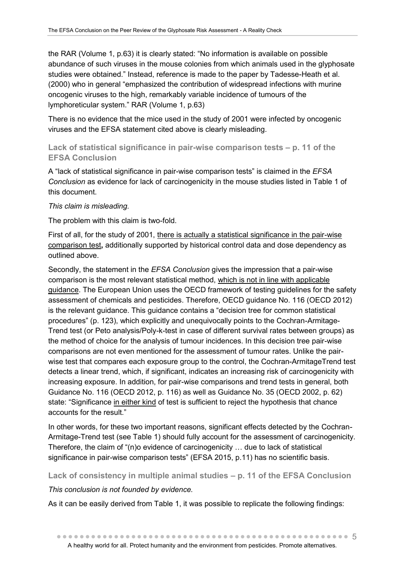the RAR (Volume 1, p.63) it is clearly stated: "No information is available on possible abundance of such viruses in the mouse colonies from which animals used in the glyphosate studies were obtained." Instead, reference is made to the paper by Tadesse-Heath et al. (2000) who in general "emphasized the contribution of widespread infections with murine oncogenic viruses to the high, remarkably variable incidence of tumours of the lymphoreticular system." RAR (Volume 1, p.63)

There is no evidence that the mice used in the study of 2001 were infected by oncogenic viruses and the EFSA statement cited above is clearly misleading.

## **Lack of statistical significance in pair-wise comparison tests – p. 11 of the EFSA Conclusion**

A "lack of statistical significance in pair-wise comparison tests" is claimed in the *EFSA Conclusion* as evidence for lack of carcinogenicity in the mouse studies listed in Table 1 of this document.

## *This claim is misleading.*

The problem with this claim is two-fold.

First of all, for the study of 2001, there is actually a statistical significance in the pair-wise comparison test**,** additionally supported by historical control data and dose dependency as outlined above.

Secondly, the statement in the *EFSA Conclusion* gives the impression that a pair-wise comparison is the most relevant statistical method, which is not in line with applicable guidance. The European Union uses the OECD framework of testing guidelines for the safety assessment of chemicals and pesticides. Therefore, OECD guidance No. 116 (OECD 2012) is the relevant guidance. This guidance contains a "decision tree for common statistical procedures" (p. 123), which explicitly and unequivocally points to the Cochran-Armitage-Trend test (or Peto analysis/Poly-k-test in case of different survival rates between groups) as the method of choice for the analysis of tumour incidences. In this decision tree pair-wise comparisons are not even mentioned for the assessment of tumour rates. Unlike the pairwise test that compares each exposure group to the control, the Cochran-ArmitageTrend test detects a linear trend, which, if significant, indicates an increasing risk of carcinogenicity with increasing exposure. In addition, for pair-wise comparisons and trend tests in general, both Guidance No. 116 (OECD 2012, p. 116) as well as Guidance No. 35 (OECD 2002, p. 62) state: "Significance in either kind of test is sufficient to reject the hypothesis that chance accounts for the result."

In other words, for these two important reasons, significant effects detected by the Cochran-Armitage-Trend test (see Table 1) should fully account for the assessment of carcinogenicity. Therefore, the claim of "(n)o evidence of carcinogenicity … due to lack of statistical significance in pair-wise comparison tests" (EFSA 2015, p.11) has no scientific basis.

**Lack of consistency in multiple animal studies – p. 11 of the EFSA Conclusion**

## *This conclusion is not founded by evidence.*

As it can be easily derived from Table 1, it was possible to replicate the following findings: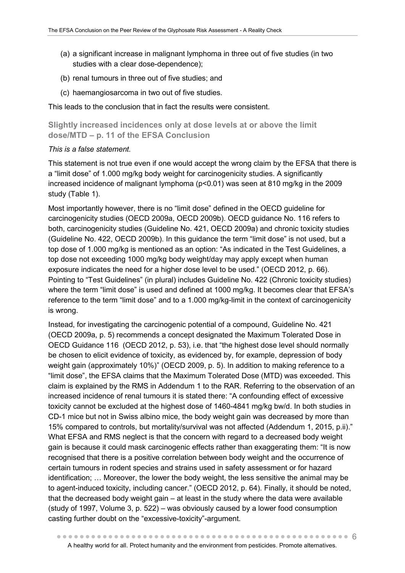- (a) a significant increase in malignant lymphoma in three out of five studies (in two studies with a clear dose-dependence);
- (b) renal tumours in three out of five studies; and
- (c) haemangiosarcoma in two out of five studies.

This leads to the conclusion that in fact the results were consistent.

**Slightly increased incidences only at dose levels at or above the limit dose/MTD – p. 11 of the EFSA Conclusion**

## *This is a false statement.*

This statement is not true even if one would accept the wrong claim by the EFSA that there is a "limit dose" of 1.000 mg/kg body weight for carcinogenicity studies. A significantly increased incidence of malignant lymphoma (p<0.01) was seen at 810 mg/kg in the 2009 study (Table 1).

Most importantly however, there is no "limit dose" defined in the OECD guideline for carcinogenicity studies (OECD 2009a, OECD 2009b). OECD guidance No. 116 refers to both, carcinogenicity studies (Guideline No. 421, OECD 2009a) and chronic toxicity studies (Guideline No. 422, OECD 2009b). In this guidance the term "limit dose" is not used, but a top dose of 1.000 mg/kg is mentioned as an option: "As indicated in the Test Guidelines, a top dose not exceeding 1000 mg/kg body weight/day may apply except when human exposure indicates the need for a higher dose level to be used." (OECD 2012, p. 66). Pointing to "Test Guidelines" (in plural) includes Guideline No. 422 (Chronic toxicity studies) where the term "limit dose" is used and defined at 1000 mg/kg. It becomes clear that EFSA's reference to the term "limit dose" and to a 1.000 mg/kg-limit in the context of carcinogenicity is wrong.

Instead, for investigating the carcinogenic potential of a compound, Guideline No. 421 (OECD 2009a, p. 5) recommends a concept designated the Maximum Tolerated Dose in OECD Guidance 116 (OECD 2012, p. 53), i.e. that "the highest dose level should normally be chosen to elicit evidence of toxicity, as evidenced by, for example, depression of body weight gain (approximately 10%)" (OECD 2009, p. 5). In addition to making reference to a "limit dose", the EFSA claims that the Maximum Tolerated Dose (MTD) was exceeded. This claim is explained by the RMS in Addendum 1 to the RAR. Referring to the observation of an increased incidence of renal tumours it is stated there: "A confounding effect of excessive toxicity cannot be excluded at the highest dose of 1460-4841 mg/kg bw/d. In both studies in CD-1 mice but not in Swiss albino mice, the body weight gain was decreased by more than 15% compared to controls, but mortality/survival was not affected (Addendum 1, 2015, p.ii)." What EFSA and RMS neglect is that the concern with regard to a decreased body weight gain is because it could mask carcinogenic effects rather than exaggerating them: "It is now recognised that there is a positive correlation between body weight and the occurrence of certain tumours in rodent species and strains used in safety assessment or for hazard identification; … Moreover, the lower the body weight, the less sensitive the animal may be to agent-induced toxicity, including cancer." (OECD 2012, p. 64). Finally, it should be noted, that the decreased body weight gain – at least in the study where the data were available (study of 1997, Volume 3, p. 522) – was obviously caused by a lower food consumption casting further doubt on the "excessive-toxicity"-argument.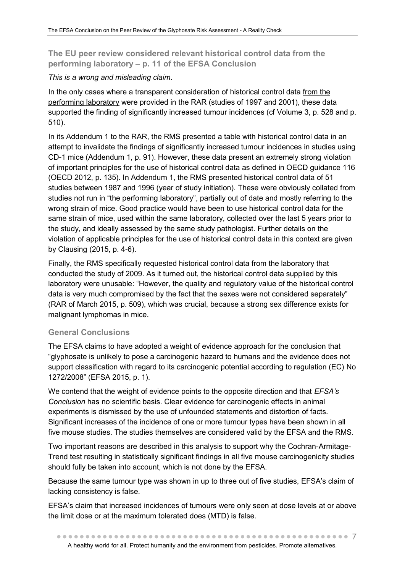**The EU peer review considered relevant historical control data from the performing laboratory – p. 11 of the EFSA Conclusion** 

## *This is a wrong and misleading claim*.

In the only cases where a transparent consideration of historical control data from the performing laboratory were provided in the RAR (studies of 1997 and 2001), these data supported the finding of significantly increased tumour incidences (cf Volume 3, p. 528 and p. 510).

In its Addendum 1 to the RAR, the RMS presented a table with historical control data in an attempt to invalidate the findings of significantly increased tumour incidences in studies using CD-1 mice (Addendum 1, p. 91). However, these data present an extremely strong violation of important principles for the use of historical control data as defined in OECD guidance 116 (OECD 2012, p. 135). In Addendum 1, the RMS presented historical control data of 51 studies between 1987 and 1996 (year of study initiation). These were obviously collated from studies not run in "the performing laboratory", partially out of date and mostly referring to the wrong strain of mice. Good practice would have been to use historical control data for the same strain of mice, used within the same laboratory, collected over the last 5 years prior to the study, and ideally assessed by the same study pathologist. Further details on the violation of applicable principles for the use of historical control data in this context are given by Clausing (2015, p. 4-6).

Finally, the RMS specifically requested historical control data from the laboratory that conducted the study of 2009. As it turned out, the historical control data supplied by this laboratory were unusable: "However, the quality and regulatory value of the historical control data is very much compromised by the fact that the sexes were not considered separately" (RAR of March 2015, p. 509), which was crucial, because a strong sex difference exists for malignant lymphomas in mice.

## **General Conclusions**

The EFSA claims to have adopted a weight of evidence approach for the conclusion that "glyphosate is unlikely to pose a carcinogenic hazard to humans and the evidence does not support classification with regard to its carcinogenic potential according to regulation (EC) No 1272/2008" (EFSA 2015, p. 1).

We contend that the weight of evidence points to the opposite direction and that *EFSA's Conclusion* has no scientific basis. Clear evidence for carcinogenic effects in animal experiments is dismissed by the use of unfounded statements and distortion of facts. Significant increases of the incidence of one or more tumour types have been shown in all five mouse studies. The studies themselves are considered valid by the EFSA and the RMS.

Two important reasons are described in this analysis to support why the Cochran-Armitage-Trend test resulting in statistically significant findings in all five mouse carcinogenicity studies should fully be taken into account, which is not done by the EFSA.

Because the same tumour type was shown in up to three out of five studies, EFSA's claim of lacking consistency is false.

EFSA's claim that increased incidences of tumours were only seen at dose levels at or above the limit dose or at the maximum tolerated does (MTD) is false.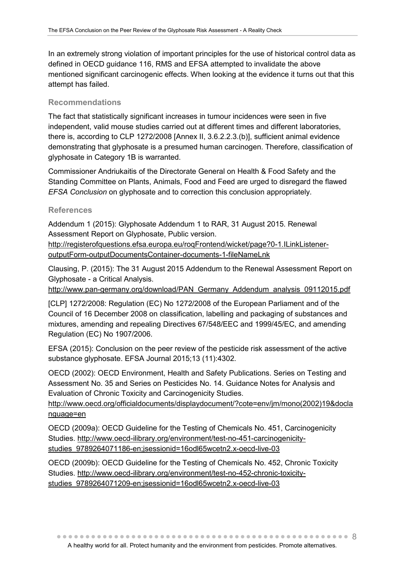In an extremely strong violation of important principles for the use of historical control data as defined in OECD guidance 116, RMS and EFSA attempted to invalidate the above mentioned significant carcinogenic effects. When looking at the evidence it turns out that this attempt has failed.

#### **Recommendations**

The fact that statistically significant increases in tumour incidences were seen in five independent, valid mouse studies carried out at different times and different laboratories, there is, according to CLP 1272/2008 [Annex II, 3.6.2.2.3.(b)], sufficient animal evidence demonstrating that glyphosate is a presumed human carcinogen. Therefore, classification of glyphosate in Category 1B is warranted.

Commissioner Andriukaitis of the Directorate General on Health & Food Safety and the Standing Committee on Plants, Animals, Food and Feed are urged to disregard the flawed *EFSA Conclusion* on glyphosate and to correction this conclusion appropriately.

#### **References**

Addendum 1 (2015): Glyphosate Addendum 1 to RAR, 31 August 2015. Renewal Assessment Report on Glyphosate, Public version.

[http://registerofquestions.efsa.europa.eu/roqFrontend/wicket/page?0-1.ILinkListener](http://registerofquestions.efsa.europa.eu/roqFrontend/wicket/page?0-1.ILinkListener-outputForm-outputDocumentsContainer-documents-1-fileNameLnk)[outputForm-outputDocumentsContainer-documents-1-fileNameLnk](http://registerofquestions.efsa.europa.eu/roqFrontend/wicket/page?0-1.ILinkListener-outputForm-outputDocumentsContainer-documents-1-fileNameLnk)

Clausing, P. (2015): The 31 August 2015 Addendum to the Renewal Assessment Report on Glyphosate - a Critical Analysis.

[http://www.pan-germany.org/download/PAN\\_Germany\\_Addendum\\_analysis\\_09112015.pdf](http://www.pan-germany.org/download/PAN_Germany_Addendum_analysis_09112015.pdf)

[CLP] 1272/2008: Regulation (EC) No 1272/2008 of the European Parliament and of the Council of 16 December 2008 on classification, labelling and packaging of substances and mixtures, amending and repealing Directives 67/548/EEC and 1999/45/EC, and amending Regulation (EC) No 1907/2006.

EFSA (2015): Conclusion on the peer review of the pesticide risk assessment of the active substance glyphosate. EFSA Journal 2015;13 (11):4302.

OECD (2002): OECD Environment, Health and Safety Publications. Series on Testing and Assessment No. 35 and Series on Pesticides No. 14. Guidance Notes for Analysis and Evaluation of Chronic Toxicity and Carcinogenicity Studies.

[http://www.oecd.org/officialdocuments/displaydocument/?cote=env/jm/mono\(2002\)19&docla](http://www.oecd.org/officialdocuments/displaydocument/?cote=env/jm/mono(2002)19&doclanguage=en) [nguage=en](http://www.oecd.org/officialdocuments/displaydocument/?cote=env/jm/mono(2002)19&doclanguage=en)

OECD (2009a): OECD Guideline for the Testing of Chemicals No. 451, Carcinogenicity Studies. [http://www.oecd-ilibrary.org/environment/test-no-451-carcinogenicity](http://www.oecd-ilibrary.org/environment/test-no-451-carcinogenicity-studies_9789264071186-en;jsessionid=16odl65wcetn2.x-oecd-live-03)[studies\\_9789264071186-en;jsessionid=16odl65wcetn2.x-oecd-live-03](http://www.oecd-ilibrary.org/environment/test-no-451-carcinogenicity-studies_9789264071186-en;jsessionid=16odl65wcetn2.x-oecd-live-03)

OECD (2009b): OECD Guideline for the Testing of Chemicals No. 452, Chronic Toxicity Studies. [http://www.oecd-ilibrary.org/environment/test-no-452-chronic-toxicity](http://www.oecd-ilibrary.org/environment/test-no-452-chronic-toxicity-studies_9789264071209-en;jsessionid=16odl65wcetn2.x-oecd-live-03)[studies\\_9789264071209-en;jsessionid=16odl65wcetn2.x-oecd-live-03](http://www.oecd-ilibrary.org/environment/test-no-452-chronic-toxicity-studies_9789264071209-en;jsessionid=16odl65wcetn2.x-oecd-live-03)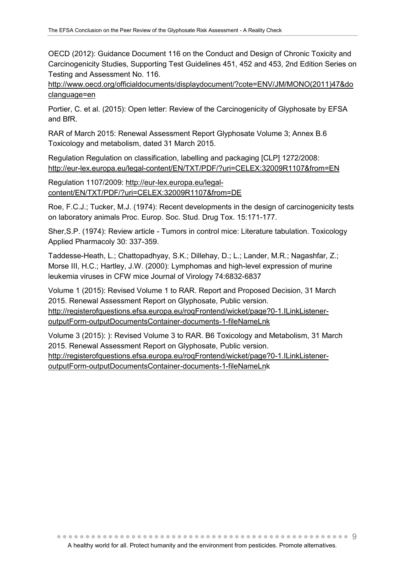OECD (2012): Guidance Document 116 on the Conduct and Design of Chronic Toxicity and Carcinogenicity Studies, Supporting Test Guidelines 451, 452 and 453, 2nd Edition Series on Testing and Assessment No. 116.

[http://www.oecd.org/officialdocuments/displaydocument/?cote=ENV/JM/MONO\(2011\)47&do](http://www.oecd.org/officialdocuments/displaydocument/?cote=ENV/JM/MONO(2011)47&doclanguage=en) [clanguage=en](http://www.oecd.org/officialdocuments/displaydocument/?cote=ENV/JM/MONO(2011)47&doclanguage=en)

Portier, C. et al. (2015): Open letter: Review of the Carcinogenicity of Glyphosate by EFSA and BfR.

RAR of March 2015: Renewal Assessment Report Glyphosate Volume 3; Annex B.6 Toxicology and metabolism, dated 31 March 2015.

Regulation Regulation on classification, labelling and packaging [CLP] 1272/2008: <http://eur-lex.europa.eu/legal-content/EN/TXT/PDF/?uri=CELEX:32009R1107&from=EN>

Regulation 1107/2009: [http://eur-lex.europa.eu/legal](http://eur-lex.europa.eu/legal-content/EN/TXT/PDF/?uri=CELEX:32009R1107&from=DE)[content/EN/TXT/PDF/?uri=CELEX:32009R1107&from=DE](http://eur-lex.europa.eu/legal-content/EN/TXT/PDF/?uri=CELEX:32009R1107&from=DE)

Roe, F.C.J.; Tucker, M.J. (1974): Recent developments in the design of carcinogenicity tests on laboratory animals Proc. Europ. Soc. Stud. Drug Tox. 15:171-177.

Sher,S.P. (1974): Review article - Tumors in control mice: Literature tabulation. Toxicology Applied Pharmacoly 30: 337-359.

Taddesse-Heath, L.; Chattopadhyay, S.K.; Dillehay, D.; L.; Lander, M.R.; Nagashfar, Z.; Morse III, H.C.; Hartley, J.W. (2000): Lymphomas and high-level expression of murine leukemia viruses in CFW mice Journal of Virology 74:6832-6837

Volume 1 (2015): Revised Volume 1 to RAR. Report and Proposed Decision, 31 March 2015. Renewal Assessment Report on Glyphosate, Public version. [http://registerofquestions.efsa.europa.eu/roqFrontend/wicket/page?0-1.ILinkListener](http://registerofquestions.efsa.europa.eu/roqFrontend/wicket/page?0-1.ILinkListener-outputForm-outputDocumentsContainer-documents-1-fileNameLnk)[outputForm-outputDocumentsContainer-documents-1-fileNameLnk](http://registerofquestions.efsa.europa.eu/roqFrontend/wicket/page?0-1.ILinkListener-outputForm-outputDocumentsContainer-documents-1-fileNameLnk)

Volume 3 (2015): ): Revised Volume 3 to RAR. B6 Toxicology and Metabolism, 31 March 2015. Renewal Assessment Report on Glyphosate, Public version. [http://registerofquestions.efsa.europa.eu/roqFrontend/wicket/page?0-1.ILinkListener](http://registerofquestions.efsa.europa.eu/roqFrontend/wicket/page?0-1.ILinkListener-outputForm-outputDocumentsContainer-documents-1-fileNameLnk)[outputForm-outputDocumentsContainer-documents-1-fileNameLnk](http://registerofquestions.efsa.europa.eu/roqFrontend/wicket/page?0-1.ILinkListener-outputForm-outputDocumentsContainer-documents-1-fileNameLnk)